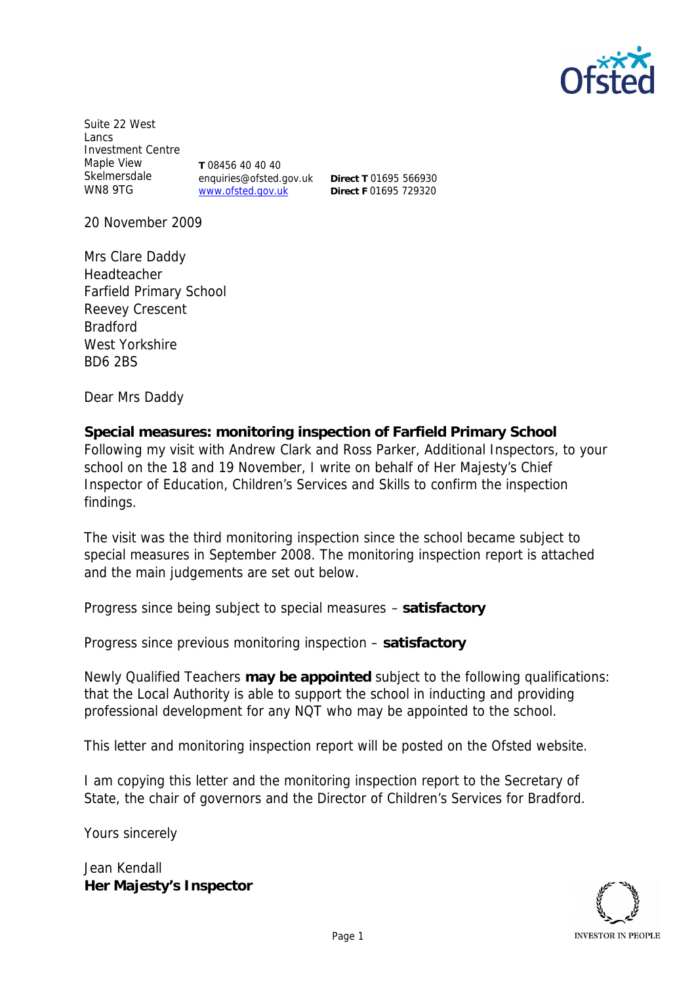

Suite 22 West Lancs Investment Centre Maple View Skelmersdale WN8 9TG **T** 08456 40 40 40 enquiries@ofsted.gov.uk www.ofsted.gov.uk

**Direct T** 01695 566930 **Direct F** 01695 729320

20 November 2009

Mrs Clare Daddy Headteacher Farfield Primary School Reevey Crescent Bradford West Yorkshire BD6 2BS

Dear Mrs Daddy

**Special measures: monitoring inspection of Farfield Primary School** Following my visit with Andrew Clark and Ross Parker, Additional Inspectors, to your school on the 18 and 19 November, I write on behalf of Her Majesty's Chief Inspector of Education, Children's Services and Skills to confirm the inspection findings.

The visit was the third monitoring inspection since the school became subject to special measures in September 2008. The monitoring inspection report is attached and the main judgements are set out below.

Progress since being subject to special measures – **satisfactory** 

Progress since previous monitoring inspection – **satisfactory** 

Newly Qualified Teachers **may be appointed** subject to the following qualifications: that the Local Authority is able to support the school in inducting and providing professional development for any NQT who may be appointed to the school.

This letter and monitoring inspection report will be posted on the Ofsted website.

I am copying this letter and the monitoring inspection report to the Secretary of State, the chair of governors and the Director of Children's Services for Bradford.

Yours sincerely

Jean Kendall **Her Majesty's Inspector**

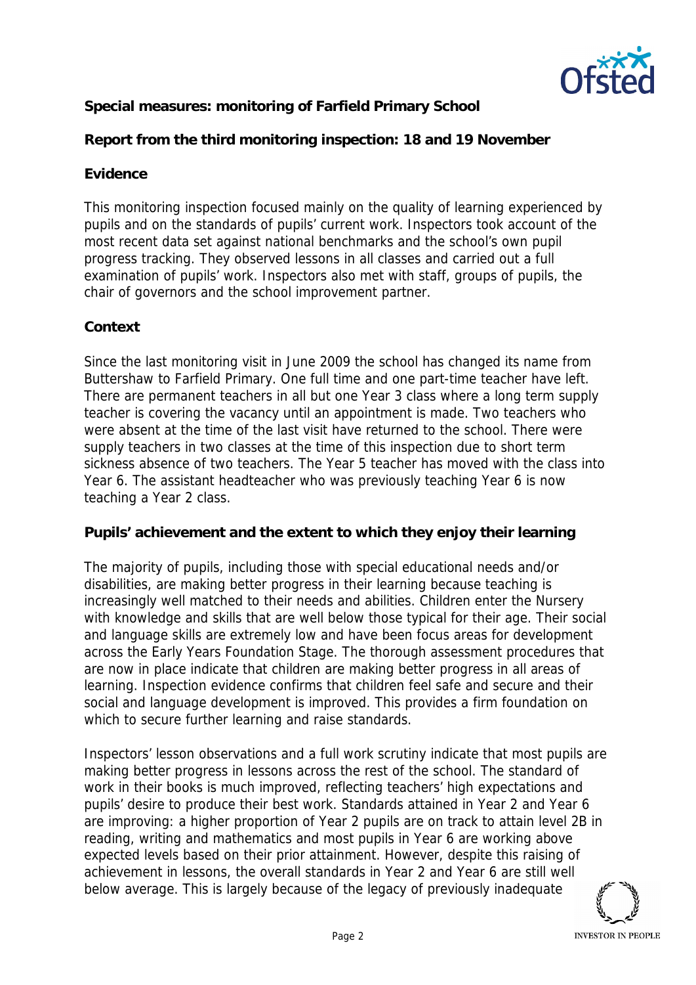

## **Special measures: monitoring of Farfield Primary School**

**Report from the third monitoring inspection: 18 and 19 November**

## **Evidence**

This monitoring inspection focused mainly on the quality of learning experienced by pupils and on the standards of pupils' current work. Inspectors took account of the most recent data set against national benchmarks and the school's own pupil progress tracking. They observed lessons in all classes and carried out a full examination of pupils' work. Inspectors also met with staff, groups of pupils, the chair of governors and the school improvement partner.

## **Context**

Since the last monitoring visit in June 2009 the school has changed its name from Buttershaw to Farfield Primary. One full time and one part-time teacher have left. There are permanent teachers in all but one Year 3 class where a long term supply teacher is covering the vacancy until an appointment is made. Two teachers who were absent at the time of the last visit have returned to the school. There were supply teachers in two classes at the time of this inspection due to short term sickness absence of two teachers. The Year 5 teacher has moved with the class into Year 6. The assistant headteacher who was previously teaching Year 6 is now teaching a Year 2 class.

**Pupils' achievement and the extent to which they enjoy their learning**

The majority of pupils, including those with special educational needs and/or disabilities, are making better progress in their learning because teaching is increasingly well matched to their needs and abilities. Children enter the Nursery with knowledge and skills that are well below those typical for their age. Their social and language skills are extremely low and have been focus areas for development across the Early Years Foundation Stage. The thorough assessment procedures that are now in place indicate that children are making better progress in all areas of learning. Inspection evidence confirms that children feel safe and secure and their social and language development is improved. This provides a firm foundation on which to secure further learning and raise standards.

Inspectors' lesson observations and a full work scrutiny indicate that most pupils are making better progress in lessons across the rest of the school. The standard of work in their books is much improved, reflecting teachers' high expectations and pupils' desire to produce their best work. Standards attained in Year 2 and Year 6 are improving: a higher proportion of Year 2 pupils are on track to attain level 2B in reading, writing and mathematics and most pupils in Year 6 are working above expected levels based on their prior attainment. However, despite this raising of achievement in lessons, the overall standards in Year 2 and Year 6 are still well below average. This is largely because of the legacy of previously inadequate

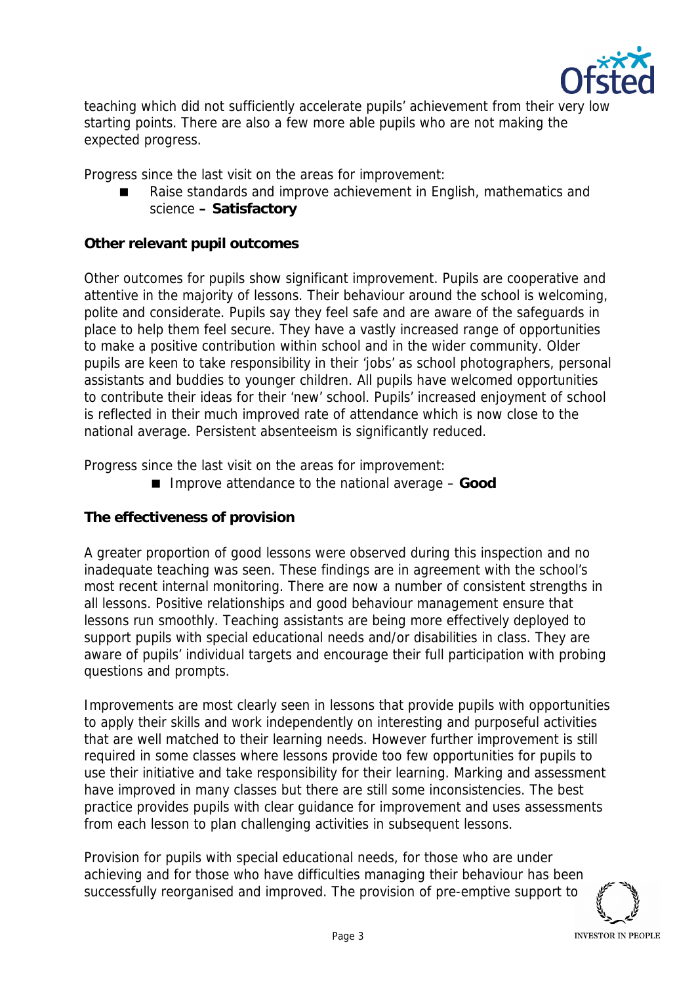

teaching which did not sufficiently accelerate pupils' achievement from their very low starting points. There are also a few more able pupils who are not making the expected progress.

Progress since the last visit on the areas for improvement:

 Raise standards and improve achievement in English, mathematics and science **– Satisfactory**

**Other relevant pupil outcomes**

Other outcomes for pupils show significant improvement. Pupils are cooperative and attentive in the majority of lessons. Their behaviour around the school is welcoming, polite and considerate. Pupils say they feel safe and are aware of the safeguards in place to help them feel secure. They have a vastly increased range of opportunities to make a positive contribution within school and in the wider community. Older pupils are keen to take responsibility in their 'jobs' as school photographers, personal assistants and buddies to younger children. All pupils have welcomed opportunities to contribute their ideas for their 'new' school. Pupils' increased enjoyment of school is reflected in their much improved rate of attendance which is now close to the national average. Persistent absenteeism is significantly reduced.

Progress since the last visit on the areas for improvement:

■ Improve attendance to the national average – Good

**The effectiveness of provision**

A greater proportion of good lessons were observed during this inspection and no inadequate teaching was seen. These findings are in agreement with the school's most recent internal monitoring. There are now a number of consistent strengths in all lessons. Positive relationships and good behaviour management ensure that lessons run smoothly. Teaching assistants are being more effectively deployed to support pupils with special educational needs and/or disabilities in class. They are aware of pupils' individual targets and encourage their full participation with probing questions and prompts.

Improvements are most clearly seen in lessons that provide pupils with opportunities to apply their skills and work independently on interesting and purposeful activities that are well matched to their learning needs. However further improvement is still required in some classes where lessons provide too few opportunities for pupils to use their initiative and take responsibility for their learning. Marking and assessment have improved in many classes but there are still some inconsistencies. The best practice provides pupils with clear guidance for improvement and uses assessments from each lesson to plan challenging activities in subsequent lessons.

Provision for pupils with special educational needs, for those who are under achieving and for those who have difficulties managing their behaviour has been successfully reorganised and improved. The provision of pre-emptive support to

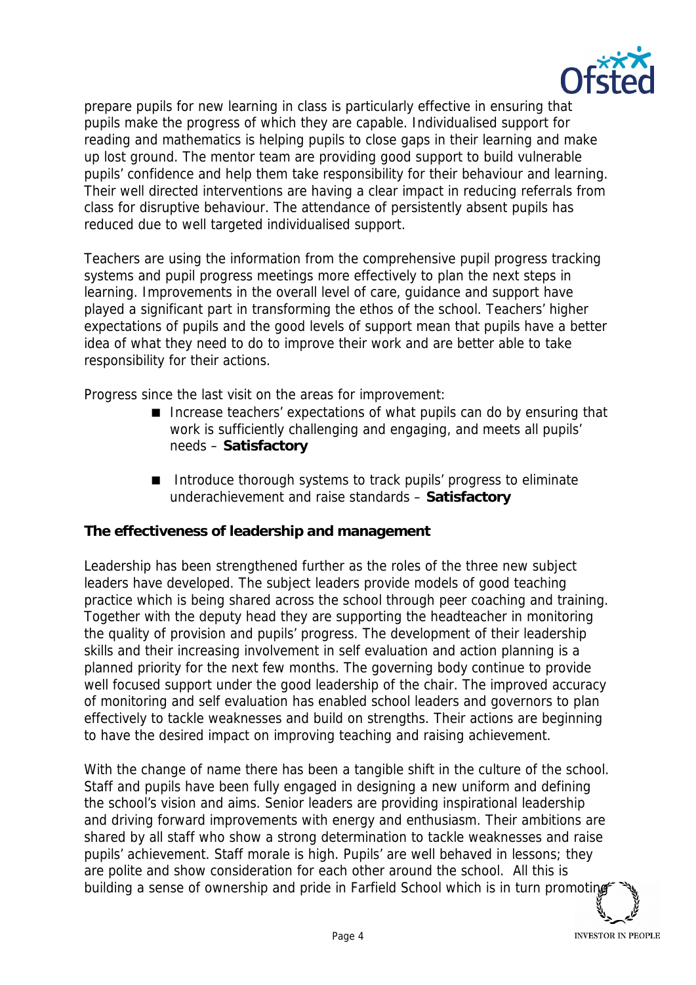

prepare pupils for new learning in class is particularly effective in ensuring that pupils make the progress of which they are capable. Individualised support for reading and mathematics is helping pupils to close gaps in their learning and make up lost ground. The mentor team are providing good support to build vulnerable pupils' confidence and help them take responsibility for their behaviour and learning. Their well directed interventions are having a clear impact in reducing referrals from class for disruptive behaviour. The attendance of persistently absent pupils has reduced due to well targeted individualised support.

Teachers are using the information from the comprehensive pupil progress tracking systems and pupil progress meetings more effectively to plan the next steps in learning. Improvements in the overall level of care, guidance and support have played a significant part in transforming the ethos of the school. Teachers' higher expectations of pupils and the good levels of support mean that pupils have a better idea of what they need to do to improve their work and are better able to take responsibility for their actions.

Progress since the last visit on the areas for improvement:

- Increase teachers' expectations of what pupils can do by ensuring that work is sufficiently challenging and engaging, and meets all pupils' needs – **Satisfactory**
- Introduce thorough systems to track pupils' progress to eliminate underachievement and raise standards – **Satisfactory**

**The effectiveness of leadership and management**

Leadership has been strengthened further as the roles of the three new subject leaders have developed. The subject leaders provide models of good teaching practice which is being shared across the school through peer coaching and training. Together with the deputy head they are supporting the headteacher in monitoring the quality of provision and pupils' progress. The development of their leadership skills and their increasing involvement in self evaluation and action planning is a planned priority for the next few months. The governing body continue to provide well focused support under the good leadership of the chair. The improved accuracy of monitoring and self evaluation has enabled school leaders and governors to plan effectively to tackle weaknesses and build on strengths. Their actions are beginning to have the desired impact on improving teaching and raising achievement.

With the change of name there has been a tangible shift in the culture of the school. Staff and pupils have been fully engaged in designing a new uniform and defining the school's vision and aims. Senior leaders are providing inspirational leadership and driving forward improvements with energy and enthusiasm. Their ambitions are shared by all staff who show a strong determination to tackle weaknesses and raise pupils' achievement. Staff morale is high. Pupils' are well behaved in lessons; they are polite and show consideration for each other around the school. All this is building a sense of ownership and pride in Farfield School which is in turn promoting